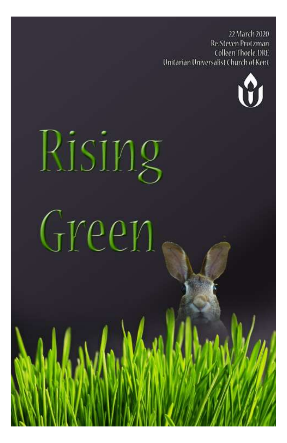22 March 2020 Re. Steven Protzman **Colleen Thoele DRE** Unitarian Universalist Church of Kent



# Rising Green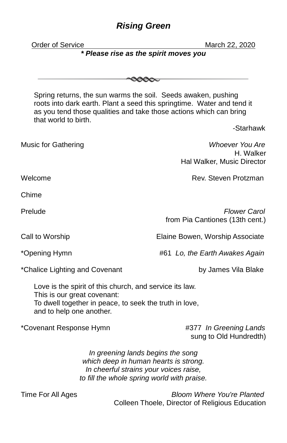# *Rising Green*

| <b>Order of Service</b>                                                                                                                                                      |                                                                                                                                                                     | March 22, 2020                                                                                                                                                                                                |  |
|------------------------------------------------------------------------------------------------------------------------------------------------------------------------------|---------------------------------------------------------------------------------------------------------------------------------------------------------------------|---------------------------------------------------------------------------------------------------------------------------------------------------------------------------------------------------------------|--|
|                                                                                                                                                                              | * Please rise as the spirit moves you                                                                                                                               |                                                                                                                                                                                                               |  |
|                                                                                                                                                                              |                                                                                                                                                                     |                                                                                                                                                                                                               |  |
|                                                                                                                                                                              |                                                                                                                                                                     |                                                                                                                                                                                                               |  |
| that world to birth.                                                                                                                                                         |                                                                                                                                                                     | Spring returns, the sun warms the soil. Seeds awaken, pushing<br>roots into dark earth. Plant a seed this springtime. Water and tend it<br>as you tend those qualities and take those actions which can bring |  |
|                                                                                                                                                                              |                                                                                                                                                                     | -Starhawk                                                                                                                                                                                                     |  |
| <b>Music for Gathering</b>                                                                                                                                                   |                                                                                                                                                                     | Whoever You Are<br>H. Walker<br>Hal Walker, Music Director                                                                                                                                                    |  |
| Welcome                                                                                                                                                                      |                                                                                                                                                                     | Rev. Steven Protzman                                                                                                                                                                                          |  |
|                                                                                                                                                                              |                                                                                                                                                                     |                                                                                                                                                                                                               |  |
| Chime                                                                                                                                                                        |                                                                                                                                                                     |                                                                                                                                                                                                               |  |
| Prelude                                                                                                                                                                      |                                                                                                                                                                     | Flower Carol<br>from Pia Cantiones (13th cent.)                                                                                                                                                               |  |
| Call to Worship                                                                                                                                                              |                                                                                                                                                                     | Elaine Bowen, Worship Associate                                                                                                                                                                               |  |
| *Opening Hymn                                                                                                                                                                |                                                                                                                                                                     | #61 Lo, the Earth Awakes Again                                                                                                                                                                                |  |
| *Chalice Lighting and Covenant                                                                                                                                               |                                                                                                                                                                     | by James Vila Blake                                                                                                                                                                                           |  |
| Love is the spirit of this church, and service its law.<br>This is our great covenant:<br>To dwell together in peace, to seek the truth in love,<br>and to help one another. |                                                                                                                                                                     |                                                                                                                                                                                                               |  |
| *Covenant Response Hymn                                                                                                                                                      |                                                                                                                                                                     | #377 In Greening Lands<br>sung to Old Hundredth)                                                                                                                                                              |  |
|                                                                                                                                                                              | In greening lands begins the song<br>which deep in human hearts is strong.<br>In cheerful strains your voices raise,<br>to fill the whole spring world with praise. |                                                                                                                                                                                                               |  |
| Time For All Ages                                                                                                                                                            |                                                                                                                                                                     | <b>Bloom Where You're Planted</b><br>Colleen Thoele, Director of Religious Education                                                                                                                          |  |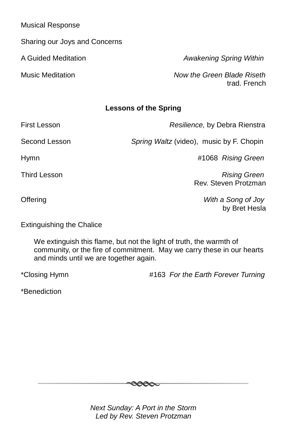Musical Response

Sharing our Joys and Concerns

A Guided Meditation *Awakening Spring Within*

Music Meditation *Now the Green Blade Riseth* trad. French

# **Lessons of the Spring**

First Lesson *Resilience,* by Debra Rienstra

Second Lesson *Spring Waltz* (video), music by F. Chopin

Hymn #1068 *Rising Green*

Third Lesson *Rising Green*

Offering *With a Song of Joy* by Bret Hesla

Rev. Steven Protzman

Extinguishing the Chalice

We extinguish this flame, but not the light of truth, the warmth of community, or the fire of commitment. May we carry these in our hearts and minds until we are together again.

\*Closing Hymn #163 *For the Earth Forever Turning*

\*Benediction



*Next Sunday: A Port in the Storm Led by Rev. Steven Protzman*